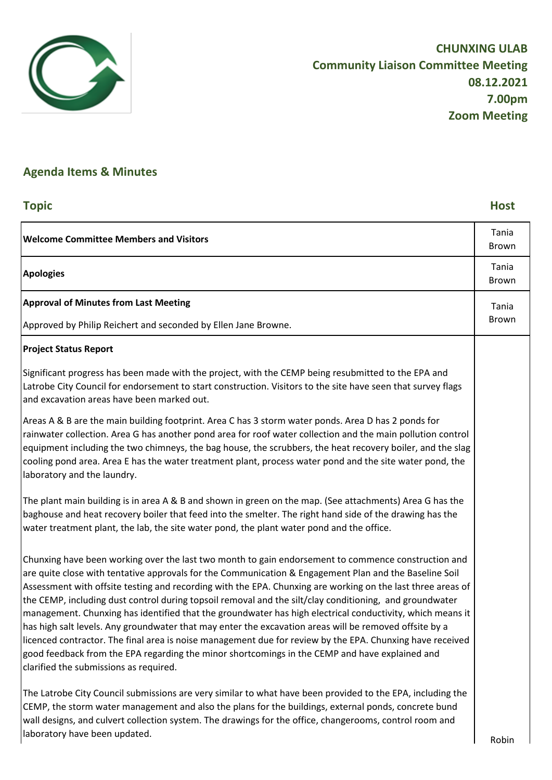

# **Agenda Items & Minutes**

## **Topic Host**

| <b>Welcome Committee Members and Visitors</b>                                                                                                                                                                                                                                                                                                                                                                                                                                                                                                                                                                                                                                                                                                                                                                                                                                                                           | Tania<br>Brown        |
|-------------------------------------------------------------------------------------------------------------------------------------------------------------------------------------------------------------------------------------------------------------------------------------------------------------------------------------------------------------------------------------------------------------------------------------------------------------------------------------------------------------------------------------------------------------------------------------------------------------------------------------------------------------------------------------------------------------------------------------------------------------------------------------------------------------------------------------------------------------------------------------------------------------------------|-----------------------|
| <b>Apologies</b>                                                                                                                                                                                                                                                                                                                                                                                                                                                                                                                                                                                                                                                                                                                                                                                                                                                                                                        | Tania<br><b>Brown</b> |
| <b>Approval of Minutes from Last Meeting</b>                                                                                                                                                                                                                                                                                                                                                                                                                                                                                                                                                                                                                                                                                                                                                                                                                                                                            | Tania                 |
| Approved by Philip Reichert and seconded by Ellen Jane Browne.                                                                                                                                                                                                                                                                                                                                                                                                                                                                                                                                                                                                                                                                                                                                                                                                                                                          | Brown                 |
| <b>Project Status Report</b>                                                                                                                                                                                                                                                                                                                                                                                                                                                                                                                                                                                                                                                                                                                                                                                                                                                                                            |                       |
| Significant progress has been made with the project, with the CEMP being resubmitted to the EPA and<br>Latrobe City Council for endorsement to start construction. Visitors to the site have seen that survey flags<br>and excavation areas have been marked out.                                                                                                                                                                                                                                                                                                                                                                                                                                                                                                                                                                                                                                                       |                       |
| Areas A & B are the main building footprint. Area C has 3 storm water ponds. Area D has 2 ponds for<br>rainwater collection. Area G has another pond area for roof water collection and the main pollution control<br>equipment including the two chimneys, the bag house, the scrubbers, the heat recovery boiler, and the slag<br>cooling pond area. Area E has the water treatment plant, process water pond and the site water pond, the<br>laboratory and the laundry.                                                                                                                                                                                                                                                                                                                                                                                                                                             |                       |
| The plant main building is in area A & B and shown in green on the map. (See attachments) Area G has the<br>baghouse and heat recovery boiler that feed into the smelter. The right hand side of the drawing has the<br>water treatment plant, the lab, the site water pond, the plant water pond and the office.                                                                                                                                                                                                                                                                                                                                                                                                                                                                                                                                                                                                       |                       |
| Chunxing have been working over the last two month to gain endorsement to commence construction and<br>are quite close with tentative approvals for the Communication & Engagement Plan and the Baseline Soil<br>Assessment with offsite testing and recording with the EPA. Chunxing are working on the last three areas of<br>the CEMP, including dust control during topsoil removal and the silt/clay conditioning, and groundwater<br>management. Chunxing has identified that the groundwater has high electrical conductivity, which means it<br>has high salt levels. Any groundwater that may enter the excavation areas will be removed offsite by a<br>licenced contractor. The final area is noise management due for review by the EPA. Chunxing have received<br>good feedback from the EPA regarding the minor shortcomings in the CEMP and have explained and<br>clarified the submissions as required. |                       |
| The Latrobe City Council submissions are very similar to what have been provided to the EPA, including the<br>CEMP, the storm water management and also the plans for the buildings, external ponds, concrete bund<br>wall designs, and culvert collection system. The drawings for the office, changerooms, control room and<br>laboratory have been updated.                                                                                                                                                                                                                                                                                                                                                                                                                                                                                                                                                          | Robin                 |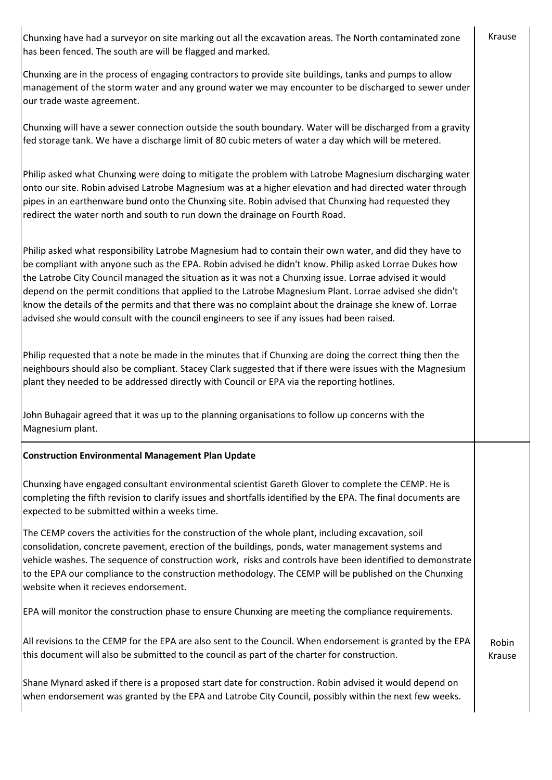Chunxing have had a surveyor on site marking out all the excavation areas. The North contaminated zone has been fenced. The south are will be flagged and marked.

Chunxing are in the process of engaging contractors to provide site buildings, tanks and pumps to allow management of the storm water and any ground water we may encounter to be discharged to sewer under our trade waste agreement.

Chunxing will have a sewer connection outside the south boundary. Water will be discharged from a gravity fed storage tank. We have a discharge limit of 80 cubic meters of water a day which will be metered.

Philip asked what Chunxing were doing to mitigate the problem with Latrobe Magnesium discharging water onto our site. Robin advised Latrobe Magnesium was at a higher elevation and had directed water through pipes in an earthenware bund onto the Chunxing site. Robin advised that Chunxing had requested they redirect the water north and south to run down the drainage on Fourth Road.

Philip asked what responsibility Latrobe Magnesium had to contain their own water, and did they have to be compliant with anyone such as the EPA. Robin advised he didn't know. Philip asked Lorrae Dukes how the Latrobe City Council managed the situation as it was not a Chunxing issue. Lorrae advised it would depend on the permit conditions that applied to the Latrobe Magnesium Plant. Lorrae advised she didn't know the details of the permits and that there was no complaint about the drainage she knew of. Lorrae advised she would consult with the council engineers to see if any issues had been raised.

Philip requested that a note be made in the minutes that if Chunxing are doing the correct thing then the neighbours should also be compliant. Stacey Clark suggested that if there were issues with the Magnesium plant they needed to be addressed directly with Council or EPA via the reporting hotlines.

John Buhagair agreed that it was up to the planning organisations to follow up concerns with the Magnesium plant.

### **Construction Environmental Management Plan Update**

Chunxing have engaged consultant environmental scientist Gareth Glover to complete the CEMP. He is completing the fifth revision to clarify issues and shortfalls identified by the EPA. The final documents are expected to be submitted within a weeks time.

The CEMP covers the activities for the construction of the whole plant, including excavation, soil consolidation, concrete pavement, erection of the buildings, ponds, water management systems and vehicle washes. The sequence of construction work, risks and controls have been identified to demonstrate to the EPA our compliance to the construction methodology. The CEMP will be published on the Chunxing website when it recieves endorsement.

EPA will monitor the construction phase to ensure Chunxing are meeting the compliance requirements.

All revisions to the CEMP for the EPA are also sent to the Council. When endorsement is granted by the EPA this document will also be submitted to the council as part of the charter for construction.

Shane Mynard asked if there is a proposed start date for construction. Robin advised it would depend on when endorsement was granted by the EPA and Latrobe City Council, possibly within the next few weeks.

Robin Krause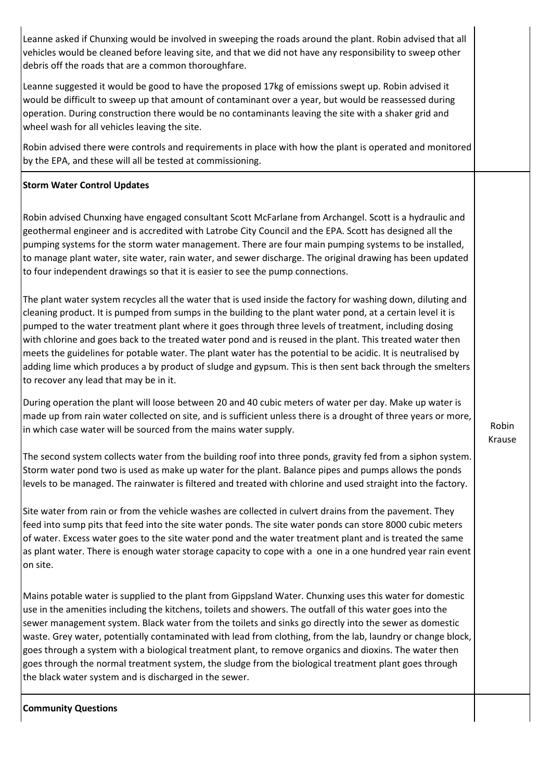Leanne asked if Chunxing would be involved in sweeping the roads around the plant. Robin advised that all vehicles would be cleaned before leaving site, and that we did not have any responsibility to sweep other debris off the roads that are a common thoroughfare.

Leanne suggested it would be good to have the proposed 17kg of emissions swept up. Robin advised it would be difficult to sweep up that amount of contaminant over a year, but would be reassessed during operation. During construction there would be no contaminants leaving the site with a shaker grid and wheel wash for all vehicles leaving the site.

Robin advised there were controls and requirements in place with how the plant is operated and monitored by the EPA, and these will all be tested at commissioning.

### **Storm Water Control Updates**

Robin advised Chunxing have engaged consultant Scott McFarlane from Archangel. Scott is a hydraulic and geothermal engineer and is accredited with Latrobe City Council and the EPA. Scott has designed all the pumping systems for the storm water management. There are four main pumping systems to be installed, to manage plant water, site water, rain water, and sewer discharge. The original drawing has been updated to four independent drawings so that it is easier to see the pump connections.

The plant water system recycles all the water that is used inside the factory for washing down, diluting and cleaning product. It is pumped from sumps in the building to the plant water pond, at a certain level it is pumped to the water treatment plant where it goes through three levels of treatment, including dosing with chlorine and goes back to the treated water pond and is reused in the plant. This treated water then meets the guidelines for potable water. The plant water has the potential to be acidic. It is neutralised by adding lime which produces a by product of sludge and gypsum. This is then sent back through the smelters to recover any lead that may be in it.

During operation the plant will loose between 20 and 40 cubic meters of water per day. Make up water is made up from rain water collected on site, and is sufficient unless there is a drought of three years or more, in which case water will be sourced from the mains water supply.

The second system collects water from the building roof into three ponds, gravity fed from a siphon system. Storm water pond two is used as make up water for the plant. Balance pipes and pumps allows the ponds levels to be managed. The rainwater is filtered and treated with chlorine and used straight into the factory.

Site water from rain or from the vehicle washes are collected in culvert drains from the pavement. They feed into sump pits that feed into the site water ponds. The site water ponds can store 8000 cubic meters of water. Excess water goes to the site water pond and the water treatment plant and is treated the same as plant water. There is enough water storage capacity to cope with a one in a one hundred year rain event on site.

Mains potable water is supplied to the plant from Gippsland Water. Chunxing uses this water for domestic use in the amenities including the kitchens, toilets and showers. The outfall of this water goes into the sewer management system. Black water from the toilets and sinks go directly into the sewer as domestic waste. Grey water, potentially contaminated with lead from clothing, from the lab, laundry or change block, goes through a system with a biological treatment plant, to remove organics and dioxins. The water then goes through the normal treatment system, the sludge from the biological treatment plant goes through the black water system and is discharged in the sewer.

Robin Krause

### **Community Questions**